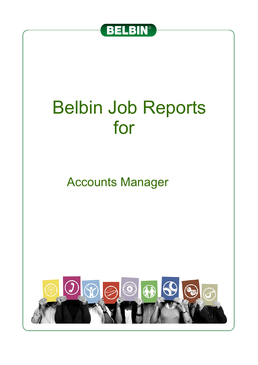

# Belbin Job Reports for

Accounts Manager

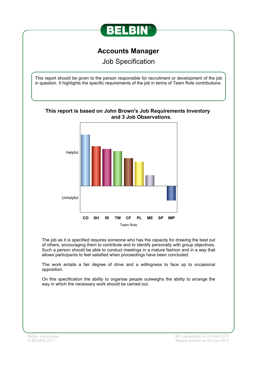

## **Accounts Manager**

Job Specification

This report should be given to the person responsible for recruitment or development of the job in question. It highlights the specific requirements of the job in terms of Team Role contributions.



The job as it is specified requires someone who has the capacity for drawing the best out of others, encouraging them to contribute and to identify personally with group objectives. Such a person should be able to conduct meetings in a mature fashion and in a way that allows participants to feel satisfied when proceedings have been concluded.

The work entails a fair degree of drive and a willingness to face up to occasional opposition.

On this specification the ability to organise people outweighs the ability to arrange the way in which the necessary work should be carried out.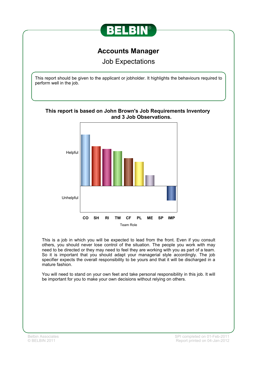

## **Accounts Manager**

Job Expectations

This report should be given to the applicant or jobholder. It highlights the behaviours required to perform well in the job.



This is a job in which you will be expected to lead from the front. Even if you consult others, you should never lose control of the situation. The people you work with may need to be directed or they may need to feel they are working with you as part of a team. So it is important that you should adapt your managerial style accordingly. The job specifier expects the overall responsibility to be yours and that it will be discharged in a mature fashion.

You will need to stand on your own feet and take personal responsibility in this job. It will be important for you to make your own decisions without relying on others.